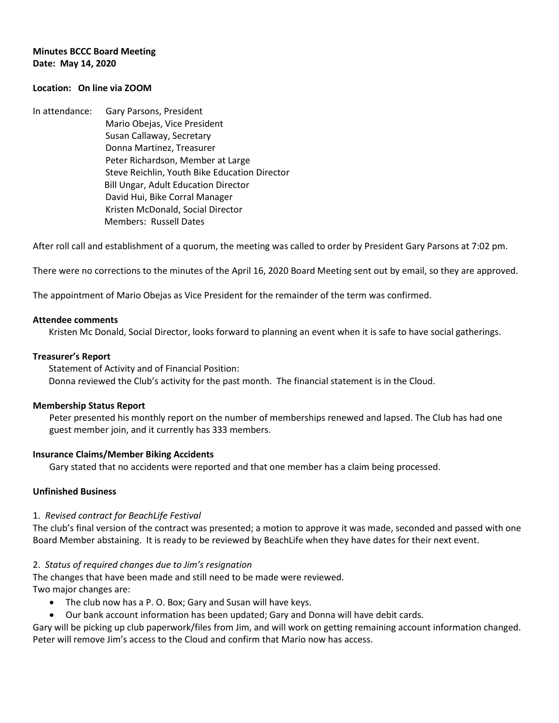## **Minutes BCCC Board Meeting Date: May 14, 2020**

# **Location: On line via ZOOM**

In attendance: Gary Parsons, President Mario Obejas, Vice President Susan Callaway, Secretary Donna Martinez, Treasurer Peter Richardson, Member at Large Steve Reichlin, Youth Bike Education Director Bill Ungar, Adult Education Director David Hui, Bike Corral Manager Kristen McDonald, Social Director Members: Russell Dates

After roll call and establishment of a quorum, the meeting was called to order by President Gary Parsons at 7:02 pm.

There were no corrections to the minutes of the April 16, 2020 Board Meeting sent out by email, so they are approved.

The appointment of Mario Obejas as Vice President for the remainder of the term was confirmed.

#### **Attendee comments**

Kristen Mc Donald, Social Director, looks forward to planning an event when it is safe to have social gatherings.

#### **Treasurer's Report**

 Statement of Activity and of Financial Position: Donna reviewed the Club's activity for the past month. The financial statement is in the Cloud.

#### **Membership Status Report**

Peter presented his monthly report on the number of memberships renewed and lapsed. The Club has had one guest member join, and it currently has 333 members.

#### **Insurance Claims/Member Biking Accidents**

Gary stated that no accidents were reported and that one member has a claim being processed.

### **Unfinished Business**

### 1. *Revised contract for BeachLife Festival*

The club's final version of the contract was presented; a motion to approve it was made, seconded and passed with one Board Member abstaining. It is ready to be reviewed by BeachLife when they have dates for their next event.

### 2. *Status of required changes due to Jim's resignation*

The changes that have been made and still need to be made were reviewed. Two major changes are:

- The club now has a P. O. Box; Gary and Susan will have keys.
- Our bank account information has been updated; Gary and Donna will have debit cards.

Gary will be picking up club paperwork/files from Jim, and will work on getting remaining account information changed. Peter will remove Jim's access to the Cloud and confirm that Mario now has access.